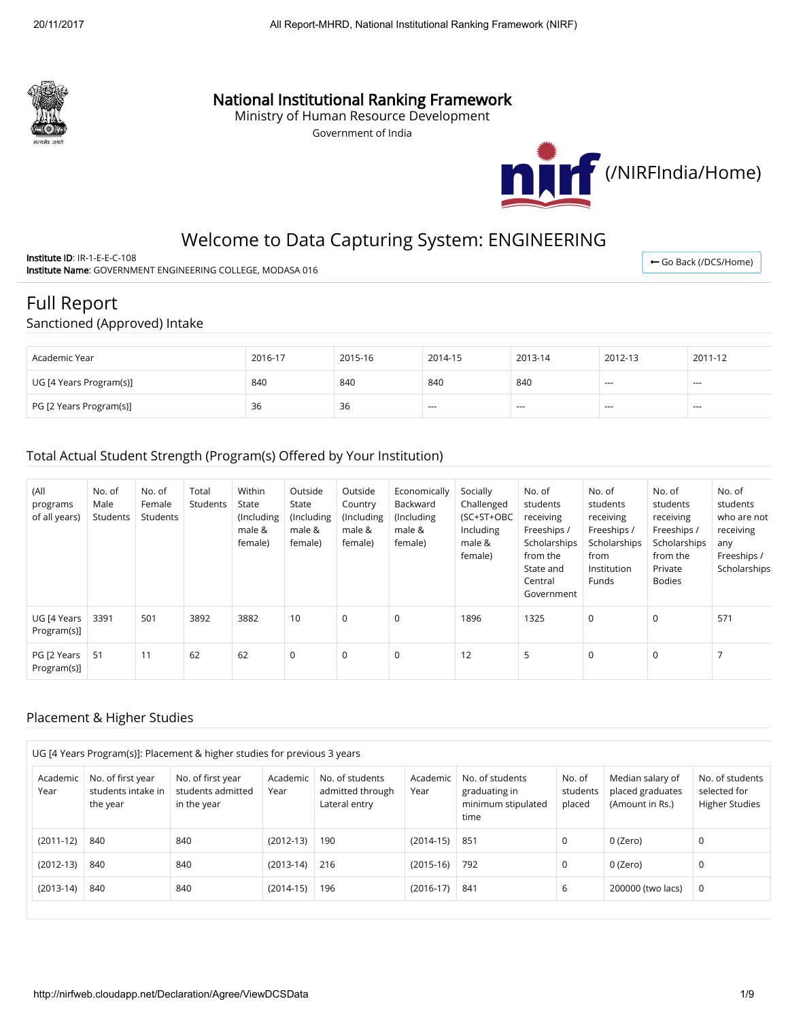

## National Institutional Ranking Framework

Ministry of Human Resource Development

Government of India



← Go Back (/DCS/Home)

# Welcome to Data Capturing System: ENGINEERING

Institute ID: IR-1-E-E-C-108 Institute Name: GOVERNMENT ENGINEERING COLLEGE, MODASA 016

# Full Report

#### Sanctioned (Approved) Intake

| Academic Year           | 2016-17 | 2015-16 | 2014-15 | 2013-14 | 2012-13                  | 2011-12       |
|-------------------------|---------|---------|---------|---------|--------------------------|---------------|
| UG [4 Years Program(s)] | 840     | 840     | 840     | 840     | $\overline{\phantom{a}}$ | $\cdots$      |
| PG [2 Years Program(s)] | 36      | 36      | $- - -$ | ---     | $-$                      | $\sim$ $\sim$ |

#### Total Actual Student Strength (Program(s) Offered by Your Institution)

| (All<br>programs<br>of all years) | No. of<br>Male<br>Students | No. of<br>Female<br>Students | Total<br>Students | Within<br>State<br>(Including<br>male &<br>female) | Outside<br>State<br>(Including<br>male &<br>female) | Outside<br>Country<br>(Including<br>male &<br>female) | Economically<br>Backward<br>(Including<br>male &<br>female) | Socially<br>Challenged<br>(SC+ST+OBC<br>Including<br>male &<br>female) | No. of<br>students<br>receiving<br>Freeships /<br>Scholarships<br>from the<br>State and<br>Central<br>Government | No. of<br>students<br>receiving<br>Freeships /<br>Scholarships<br>from<br>Institution<br>Funds | No. of<br>students<br>receiving<br>Freeships /<br>Scholarships<br>from the<br>Private<br><b>Bodies</b> | No. of<br>students<br>who are not<br>receiving<br>any<br>Freeships /<br>Scholarships |
|-----------------------------------|----------------------------|------------------------------|-------------------|----------------------------------------------------|-----------------------------------------------------|-------------------------------------------------------|-------------------------------------------------------------|------------------------------------------------------------------------|------------------------------------------------------------------------------------------------------------------|------------------------------------------------------------------------------------------------|--------------------------------------------------------------------------------------------------------|--------------------------------------------------------------------------------------|
| UG [4 Years<br>Program(s)]        | 3391                       | 501                          | 3892              | 3882                                               | 10                                                  | $\mathbf 0$                                           | $\mathbf 0$                                                 | 1896                                                                   | 1325                                                                                                             | 0                                                                                              | $\Omega$                                                                                               | 571                                                                                  |
| PG [2 Years<br>Program(s)]        | -51                        | 11                           | 62                | 62                                                 | 0                                                   | $\mathbf 0$                                           | $\mathbf 0$                                                 | 12                                                                     | 5                                                                                                                | $\mathbf 0$                                                                                    | 0                                                                                                      |                                                                                      |

#### Placement & Higher Studies

|      | UG [4 Years Program(s)]: Placement & higher studies for previous 3 years |                                                     |                                                       |                  |                                                      |                  |                                                                |                              |                                                         |                                                          |  |
|------|--------------------------------------------------------------------------|-----------------------------------------------------|-------------------------------------------------------|------------------|------------------------------------------------------|------------------|----------------------------------------------------------------|------------------------------|---------------------------------------------------------|----------------------------------------------------------|--|
| Year | Academic                                                                 | No. of first year<br>students intake in<br>the year | No. of first year<br>students admitted<br>in the year | Academic<br>Year | No. of students<br>admitted through<br>Lateral entry | Academic<br>Year | No. of students<br>graduating in<br>minimum stipulated<br>time | No. of<br>students<br>placed | Median salary of<br>placed graduates<br>(Amount in Rs.) | No. of students<br>selected for<br><b>Higher Studies</b> |  |
|      | $(2011-12)$                                                              | 840                                                 | 840                                                   | $(2012-13)$      | 190                                                  | $(2014-15)$      | 851                                                            | 0                            | 0 (Zero)                                                | 0                                                        |  |
|      | $(2012-13)$                                                              | 840                                                 | 840                                                   | $(2013-14)$      | 216                                                  | $(2015-16)$      | 792                                                            | 0                            | 0 (Zero)                                                | 0                                                        |  |
|      | $(2013-14)$                                                              | 840                                                 | 840                                                   | $(2014-15)$      | 196                                                  | $(2016-17)$      | 841                                                            | 6                            | 200000 (two lacs)                                       | 0                                                        |  |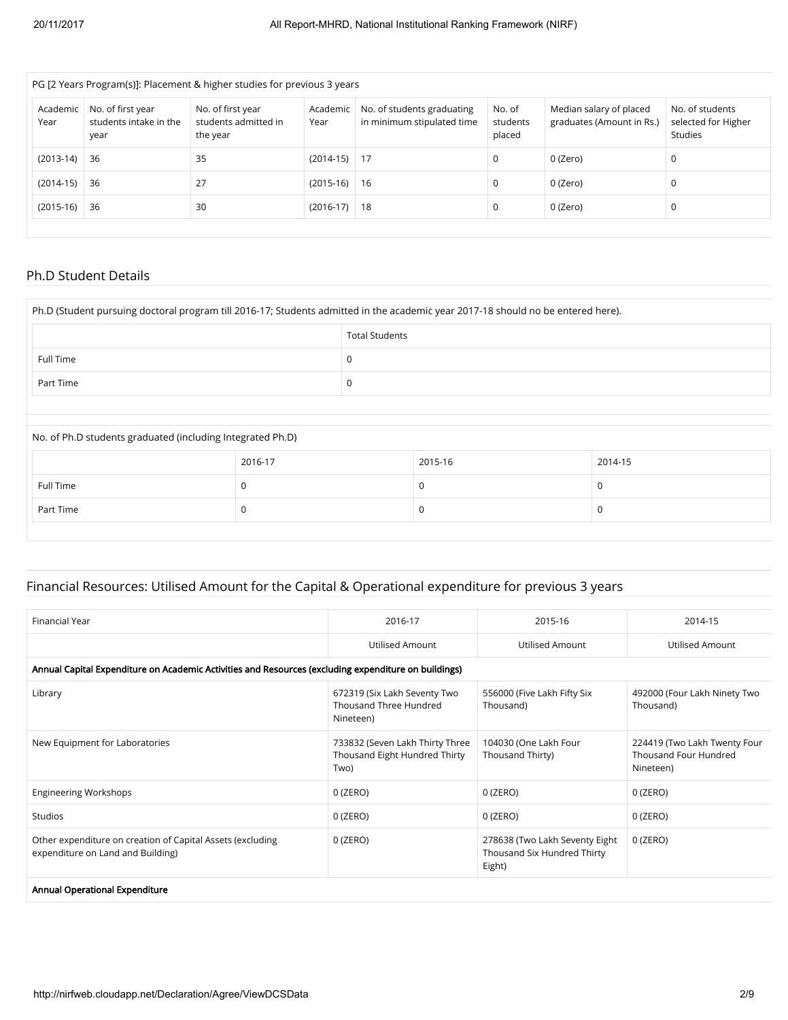| PG [2 Years Program(s)]: Placement & higher studies for previous 3 years |                                                     |                                                       |                  |                                                          |                              |                                                      |                                                          |  |  |  |
|--------------------------------------------------------------------------|-----------------------------------------------------|-------------------------------------------------------|------------------|----------------------------------------------------------|------------------------------|------------------------------------------------------|----------------------------------------------------------|--|--|--|
| Academic<br>Year                                                         | No. of first year<br>students intake in the<br>year | No. of first year<br>students admitted in<br>the year | Academic<br>Year | No. of students graduating<br>in minimum stipulated time | No. of<br>students<br>placed | Median salary of placed<br>graduates (Amount in Rs.) | No. of students<br>selected for Higher<br><b>Studies</b> |  |  |  |
| $(2013-14)$                                                              | 36                                                  | 35                                                    | $(2014-15)$      | -17                                                      |                              | 0 (Zero)                                             | 0                                                        |  |  |  |
| $(2014-15)$                                                              | 36                                                  | 27                                                    | $(2015-16)$      | 16                                                       | 0                            | 0 (Zero)                                             | 0                                                        |  |  |  |
| $(2015-16)$                                                              | 36                                                  | 30                                                    | $(2016-17)$      | 18                                                       | 0                            | 0 (Zero)                                             | 0                                                        |  |  |  |
|                                                                          |                                                     |                                                       |                  |                                                          |                              |                                                      |                                                          |  |  |  |

### Ph.D Student Details

| Ph.D (Student pursuing doctoral program till 2016-17; Students admitted in the academic year 2017-18 should no be entered here). |                       |   |         |          |  |  |  |
|----------------------------------------------------------------------------------------------------------------------------------|-----------------------|---|---------|----------|--|--|--|
|                                                                                                                                  | <b>Total Students</b> |   |         |          |  |  |  |
| Full Time                                                                                                                        |                       | 0 |         |          |  |  |  |
| Part Time                                                                                                                        |                       | 0 |         |          |  |  |  |
|                                                                                                                                  |                       |   |         |          |  |  |  |
| No. of Ph.D students graduated (including Integrated Ph.D)                                                                       |                       |   |         |          |  |  |  |
|                                                                                                                                  | 2016-17               |   | 2015-16 | 2014-15  |  |  |  |
| Full Time                                                                                                                        | 0                     |   | 0       | $\Omega$ |  |  |  |
| Part Time                                                                                                                        | 0                     |   | 0       | 0        |  |  |  |

## Financial Resources: Utilised Amount for the Capital & Operational expenditure for previous 3 years

| Financial Year                                                                                       | 2016-17                                                                  | 2015-16                                                                 | 2014-15                                                            |
|------------------------------------------------------------------------------------------------------|--------------------------------------------------------------------------|-------------------------------------------------------------------------|--------------------------------------------------------------------|
|                                                                                                      | Utilised Amount                                                          | Utilised Amount                                                         | Utilised Amount                                                    |
| Annual Capital Expenditure on Academic Activities and Resources (excluding expenditure on buildings) |                                                                          |                                                                         |                                                                    |
| Library                                                                                              | 672319 (Six Lakh Seventy Two<br>Thousand Three Hundred<br>Nineteen)      | 556000 (Five Lakh Fifty Six<br>Thousand)                                | 492000 (Four Lakh Ninety Two<br>Thousand)                          |
| New Equipment for Laboratories                                                                       | 733832 (Seven Lakh Thirty Three<br>Thousand Eight Hundred Thirty<br>Two) | 104030 (One Lakh Four<br>Thousand Thirty)                               | 224419 (Two Lakh Twenty Four<br>Thousand Four Hundred<br>Nineteen) |
| <b>Engineering Workshops</b>                                                                         | $0$ (ZERO)                                                               | 0 (ZERO)                                                                | $0$ (ZERO)                                                         |
| <b>Studios</b>                                                                                       | $0$ (ZERO)                                                               | $0$ (ZERO)                                                              | $0$ (ZERO)                                                         |
| Other expenditure on creation of Capital Assets (excluding<br>expenditure on Land and Building)      | $0$ (ZERO)                                                               | 278638 (Two Lakh Seventy Eight<br>Thousand Six Hundred Thirty<br>Eight) | $0$ (ZERO)                                                         |
| Annual Operational Expenditure                                                                       |                                                                          |                                                                         |                                                                    |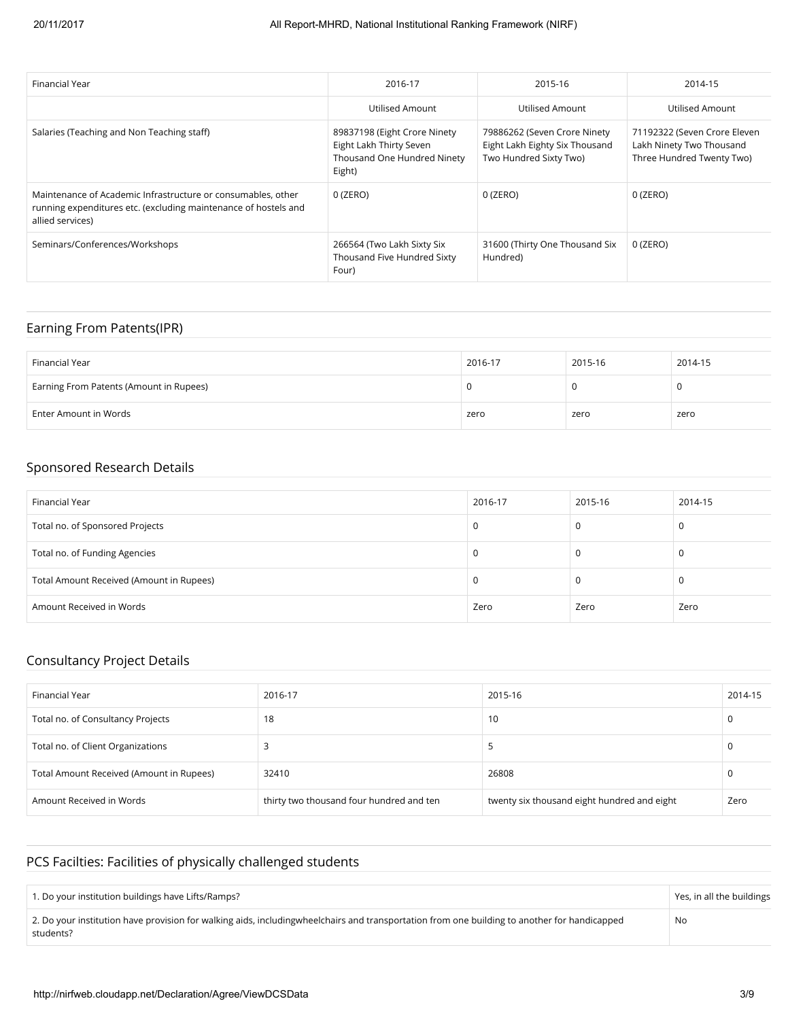| Financial Year                                                                                                                                      | 2016-17                                                                                          | 2015-16                                                                                  | 2014-15                                                                               |
|-----------------------------------------------------------------------------------------------------------------------------------------------------|--------------------------------------------------------------------------------------------------|------------------------------------------------------------------------------------------|---------------------------------------------------------------------------------------|
|                                                                                                                                                     | Utilised Amount                                                                                  | Utilised Amount                                                                          | Utilised Amount                                                                       |
| Salaries (Teaching and Non Teaching staff)                                                                                                          | 89837198 (Eight Crore Ninety<br>Eight Lakh Thirty Seven<br>Thousand One Hundred Ninety<br>Eight) | 79886262 (Seven Crore Ninety<br>Eight Lakh Eighty Six Thousand<br>Two Hundred Sixty Two) | 71192322 (Seven Crore Eleven<br>Lakh Ninety Two Thousand<br>Three Hundred Twenty Two) |
| Maintenance of Academic Infrastructure or consumables, other<br>running expenditures etc. (excluding maintenance of hostels and<br>allied services) | 0 (ZERO)                                                                                         | 0 (ZERO)                                                                                 | 0 (ZERO)                                                                              |
| Seminars/Conferences/Workshops                                                                                                                      | 266564 (Two Lakh Sixty Six<br>Thousand Five Hundred Sixty<br>Four)                               | 31600 (Thirty One Thousand Six<br>Hundred)                                               | 0 (ZERO)                                                                              |

## Earning From Patents(IPR)

| Financial Year                          | 2016-17 | 2015-16 | 2014-15 |
|-----------------------------------------|---------|---------|---------|
| Earning From Patents (Amount in Rupees) |         |         |         |
| Enter Amount in Words                   | zero    | zero    | zero    |

## Sponsored Research Details

| Financial Year                           | 2016-17 | 2015-16 | 2014-15 |
|------------------------------------------|---------|---------|---------|
| Total no. of Sponsored Projects          |         |         | 0       |
| Total no. of Funding Agencies            |         |         | 0       |
| Total Amount Received (Amount in Rupees) |         |         | 0       |
| Amount Received in Words                 | Zero    | Zero    | Zero    |

#### Consultancy Project Details

| Financial Year                           | 2016-17                                  | 2015-16                                     | 2014-15 |
|------------------------------------------|------------------------------------------|---------------------------------------------|---------|
| Total no. of Consultancy Projects        | 18                                       | 10                                          |         |
| Total no. of Client Organizations        |                                          |                                             |         |
| Total Amount Received (Amount in Rupees) | 32410                                    | 26808                                       |         |
| Amount Received in Words                 | thirty two thousand four hundred and ten | twenty six thousand eight hundred and eight | Zero    |

## PCS Facilties: Facilities of physically challenged students

| 1. Do your institution buildings have Lifts/Ramps?                                                                                                        | Yes, in all the buildings |
|-----------------------------------------------------------------------------------------------------------------------------------------------------------|---------------------------|
| 2. Do your institution have provision for walking aids, includingwheelchairs and transportation from one building to another for handicapped<br>students? | No                        |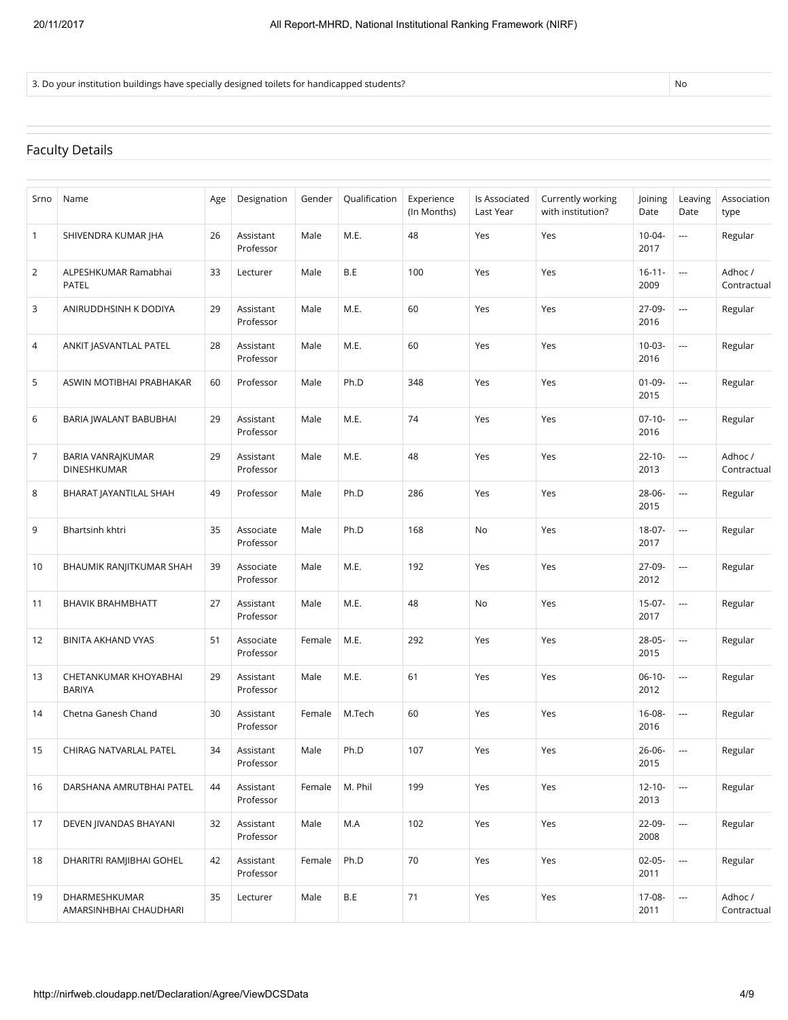3. Do your institution buildings have specially designed toilets for handicapped students?

## Faculty Details

| Srno         | Name                                    | Age | Designation            | Gender | Qualification | Experience<br>(In Months) | Is Associated<br>Last Year | Currently working<br>with institution? | Joining<br>Date     | Leaving<br>Date          | Association<br>type    |
|--------------|-----------------------------------------|-----|------------------------|--------|---------------|---------------------------|----------------------------|----------------------------------------|---------------------|--------------------------|------------------------|
| $\mathbf{1}$ | SHIVENDRA KUMAR JHA                     | 26  | Assistant<br>Professor | Male   | M.E.          | 48                        | Yes                        | Yes                                    | $10 - 04 -$<br>2017 | $\overline{\phantom{a}}$ | Regular                |
| 2            | ALPESHKUMAR Ramabhai<br>PATEL           | 33  | Lecturer               | Male   | B.E           | 100                       | Yes                        | Yes                                    | $16 - 11 -$<br>2009 | $\overline{\phantom{a}}$ | Adhoc /<br>Contractual |
| 3            | ANIRUDDHSINH K DODIYA                   | 29  | Assistant<br>Professor | Male   | M.E.          | 60                        | Yes                        | Yes                                    | $27-09-$<br>2016    | $\overline{\phantom{a}}$ | Regular                |
| 4            | ANKIT JASVANTLAL PATEL                  | 28  | Assistant<br>Professor | Male   | M.E.          | 60                        | Yes                        | Yes                                    | $10 - 03 -$<br>2016 | $\scriptstyle\cdots$     | Regular                |
| 5            | ASWIN MOTIBHAI PRABHAKAR                | 60  | Professor              | Male   | Ph.D          | 348                       | Yes                        | Yes                                    | $01 - 09 -$<br>2015 | $\overline{a}$           | Regular                |
| 6            | BARIA JWALANT BABUBHAI                  | 29  | Assistant<br>Professor | Male   | M.E.          | 74                        | Yes                        | Yes                                    | $07-10-$<br>2016    | $\overline{\phantom{a}}$ | Regular                |
| 7            | BARIA VANRAJKUMAR<br><b>DINESHKUMAR</b> | 29  | Assistant<br>Professor | Male   | M.E.          | 48                        | Yes                        | Yes                                    | $22 - 10 -$<br>2013 | $\overline{\phantom{a}}$ | Adhoc /<br>Contractual |
| 8            | BHARAT JAYANTILAL SHAH                  | 49  | Professor              | Male   | Ph.D          | 286                       | Yes                        | Yes                                    | $28 - 06 -$<br>2015 | ---                      | Regular                |
| 9            | Bhartsinh khtri                         | 35  | Associate<br>Professor | Male   | Ph.D          | 168                       | No                         | Yes                                    | $18-07-$<br>2017    | $\overline{\phantom{a}}$ | Regular                |
| 10           | BHAUMIK RANJITKUMAR SHAH                | 39  | Associate<br>Professor | Male   | M.E.          | 192                       | Yes                        | Yes                                    | 27-09-<br>2012      | $\overline{\phantom{a}}$ | Regular                |
| 11           | <b>BHAVIK BRAHMBHATT</b>                | 27  | Assistant<br>Professor | Male   | M.E.          | 48                        | No                         | Yes                                    | $15-07-$<br>2017    | $\overline{\phantom{a}}$ | Regular                |
| 12           | <b>BINITA AKHAND VYAS</b>               | 51  | Associate<br>Professor | Female | M.E.          | 292                       | Yes                        | Yes                                    | $28 - 05 -$<br>2015 | $\overline{\phantom{a}}$ | Regular                |
| 13           | CHETANKUMAR KHOYABHAI<br><b>BARIYA</b>  | 29  | Assistant<br>Professor | Male   | M.E.          | 61                        | Yes                        | Yes                                    | $06-10-$<br>2012    | $\overline{\phantom{a}}$ | Regular                |
| 14           | Chetna Ganesh Chand                     | 30  | Assistant<br>Professor | Female | M.Tech        | 60                        | Yes                        | Yes                                    | $16 - 08 -$<br>2016 | $\overline{\phantom{a}}$ | Regular                |
| 15           | <b>CHIRAG NATVARLAL PATEL</b>           | 34  | Assistant<br>Professor | Male   | Ph.D          | 107                       | Yes                        | Yes                                    | $26 - 06 -$<br>2015 | ---                      | Regular                |
| 16           | DARSHANA AMRUTBHAI PATEL                | 44  | Assistant<br>Professor | Female | M. Phil       | 199                       | Yes                        | Yes                                    | $12 - 10 -$<br>2013 | $\overline{\phantom{a}}$ | Regular                |
| 17           | DEVEN JIVANDAS BHAYANI                  | 32  | Assistant<br>Professor | Male   | M.A           | 102                       | Yes                        | Yes                                    | 22-09-<br>2008      | $\overline{\phantom{a}}$ | Regular                |
| 18           | DHARITRI RAMJIBHAI GOHEL                | 42  | Assistant<br>Professor | Female | Ph.D          | 70                        | Yes                        | Yes                                    | $02 - 05 -$<br>2011 | $\ldots$                 | Regular                |
| 19           | DHARMESHKUMAR<br>AMARSINHBHAI CHAUDHARI | 35  | Lecturer               | Male   | B.E           | 71                        | Yes                        | Yes                                    | 17-08-<br>2011      | $\ldots$                 | Adhoc /<br>Contractual |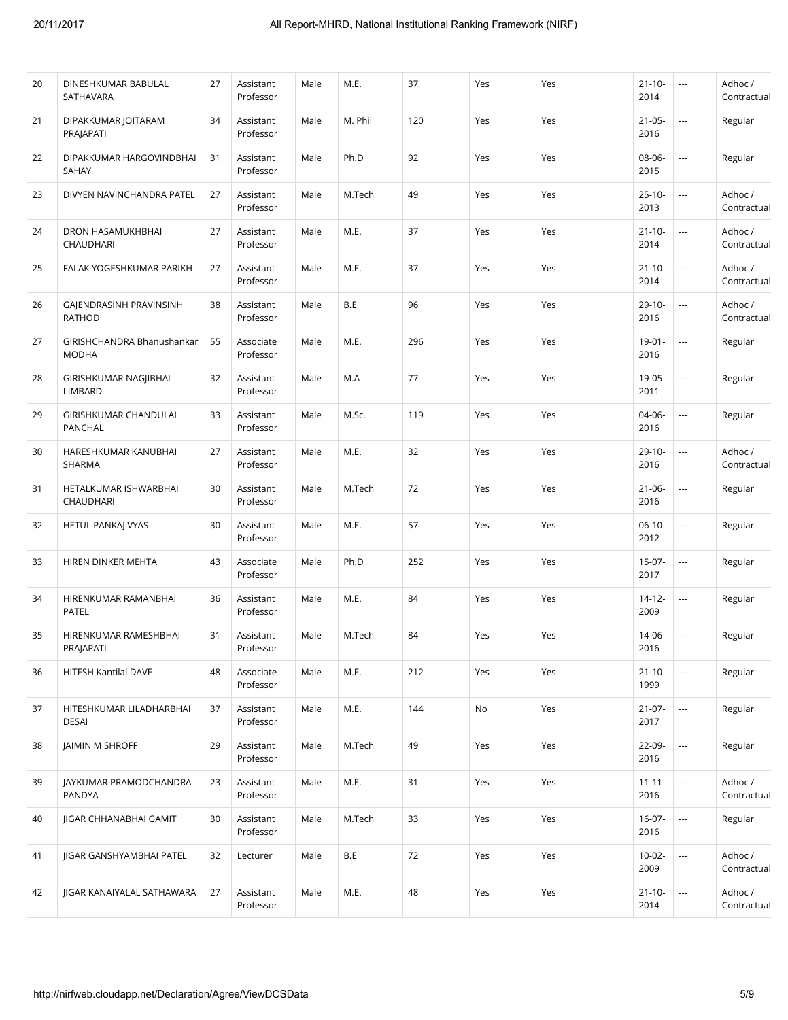| 34<br>120<br>$21 - 05 -$<br>21<br>DIPAKKUMAR JOITARAM<br>Assistant<br>Male<br>M. Phil<br>Yes<br>Yes<br>$\overline{\phantom{a}}$<br>Professor<br>2016<br>PRAJAPATI<br>Ph.D<br>92<br>08-06-<br>DIPAKKUMAR HARGOVINDBHAI<br>31<br>Male<br>Yes<br>22<br>Assistant<br>Yes<br>$\overline{\phantom{a}}$<br>Professor<br>2015<br><b>SAHAY</b><br>M.Tech<br>49<br>$25-10-$<br>i.<br>23<br>DIVYEN NAVINCHANDRA PATEL<br>27<br>Assistant<br>Male<br>Yes<br>Yes<br>Professor<br>2013<br>37<br>27<br>M.E.<br>$21 - 10 -$<br>DRON HASAMUKHBHAI<br>Assistant<br>Yes<br>Yes<br>$\overline{\phantom{a}}$<br>24<br>Male<br>Professor<br>2014<br>CHAUDHARI | Regular<br>Regular<br>Adhoc /<br>Contractual<br>Adhoc /<br>Contractual<br>Adhoc /<br>Contractual<br>Adhoc /<br>Contractual<br>Regular |
|-----------------------------------------------------------------------------------------------------------------------------------------------------------------------------------------------------------------------------------------------------------------------------------------------------------------------------------------------------------------------------------------------------------------------------------------------------------------------------------------------------------------------------------------------------------------------------------------------------------------------------------------|---------------------------------------------------------------------------------------------------------------------------------------|
|                                                                                                                                                                                                                                                                                                                                                                                                                                                                                                                                                                                                                                         |                                                                                                                                       |
|                                                                                                                                                                                                                                                                                                                                                                                                                                                                                                                                                                                                                                         |                                                                                                                                       |
|                                                                                                                                                                                                                                                                                                                                                                                                                                                                                                                                                                                                                                         |                                                                                                                                       |
|                                                                                                                                                                                                                                                                                                                                                                                                                                                                                                                                                                                                                                         |                                                                                                                                       |
| M.E.<br>$21 - 10 -$<br>27<br>Assistant<br>Male<br>37<br>Yes<br>Yes<br>$\overline{\phantom{a}}$<br>25<br>FALAK YOGESHKUMAR PARIKH<br>Professor<br>2014                                                                                                                                                                                                                                                                                                                                                                                                                                                                                   |                                                                                                                                       |
| B.E<br>96<br>$29-10-$<br>GAJENDRASINH PRAVINSINH<br>38<br>Assistant<br>Yes<br>26<br>Male<br>Yes<br>---<br>Professor<br>2016<br><b>RATHOD</b>                                                                                                                                                                                                                                                                                                                                                                                                                                                                                            |                                                                                                                                       |
| M.E.<br>296<br>27<br>GIRISHCHANDRA Bhanushankar<br>55<br>Associate<br>Male<br>Yes<br>Yes<br>$19 - 01 -$<br>$\overline{\phantom{a}}$<br><b>MODHA</b><br>Professor<br>2016                                                                                                                                                                                                                                                                                                                                                                                                                                                                |                                                                                                                                       |
| M.A<br>77<br>19-05-<br>GIRISHKUMAR NAGJIBHAI<br>32<br>Assistant<br>Yes<br>Yes<br>$\overline{\phantom{a}}$<br>28<br>Male<br>Professor<br>LIMBARD<br>2011                                                                                                                                                                                                                                                                                                                                                                                                                                                                                 | Regular                                                                                                                               |
| 33<br>M.Sc.<br>119<br>04-06-<br>GIRISHKUMAR CHANDULAL<br>Assistant<br>Male<br>Yes<br>Yes<br>$\overline{\phantom{a}}$<br>29<br>Professor<br>2016<br>PANCHAL                                                                                                                                                                                                                                                                                                                                                                                                                                                                              | Regular                                                                                                                               |
| M.E.<br>32<br>HARESHKUMAR KANUBHAI<br>27<br>Male<br>Yes<br>$29-10-$<br>30<br>Assistant<br>Yes<br>$\overline{\phantom{a}}$<br>SHARMA<br>Professor<br>2016                                                                                                                                                                                                                                                                                                                                                                                                                                                                                | Adhoc /<br>Contractual                                                                                                                |
| 72<br>HETALKUMAR ISHWARBHAI<br>30<br>Assistant<br>Male<br>M.Tech<br>Yes<br>Yes<br>$21 - 06 -$<br>$\overline{\phantom{a}}$<br>31<br>Professor<br>2016<br>CHAUDHARI                                                                                                                                                                                                                                                                                                                                                                                                                                                                       | Regular                                                                                                                               |
| 57<br>M.E.<br>30<br>Yes<br>$06-10-$<br>$\overline{\phantom{a}}$<br>32<br><b>HETUL PANKAJ VYAS</b><br>Assistant<br>Male<br>Yes<br>Professor<br>2012                                                                                                                                                                                                                                                                                                                                                                                                                                                                                      | Regular                                                                                                                               |
| 43<br>Ph.D<br>252<br>$15-07-$<br>33<br>HIREN DINKER MEHTA<br>Associate<br>Male<br>Yes<br>Yes<br>$\overline{\phantom{a}}$<br>Professor<br>2017                                                                                                                                                                                                                                                                                                                                                                                                                                                                                           | Regular                                                                                                                               |
| M.E.<br>84<br>HIRENKUMAR RAMANBHAI<br>36<br>Yes<br>$14 - 12 -$<br>34<br>Assistant<br>Male<br>Yes<br>$\overline{\phantom{a}}$<br>2009<br><b>PATEL</b><br>Professor                                                                                                                                                                                                                                                                                                                                                                                                                                                                       | Regular                                                                                                                               |
| 84<br>31<br>M.Tech<br>Yes<br>Yes<br>14-06-<br>35<br>HIRENKUMAR RAMESHBHAI<br>Assistant<br>Male<br>$\cdots$<br>2016<br>PRAJAPATI<br>Professor                                                                                                                                                                                                                                                                                                                                                                                                                                                                                            | Regular                                                                                                                               |
| M.E.<br>212<br>HITESH Kantilal DAVE<br>48<br>Yes<br>Yes<br>$21 - 10 -$<br>$\overline{\phantom{a}}$<br>36<br>Associate<br>Male<br>1999<br>Professor                                                                                                                                                                                                                                                                                                                                                                                                                                                                                      | Regular                                                                                                                               |
| 37<br>M.E.<br>144<br>$21 - 07 -$<br>Assistant<br>Male<br>No<br>Yes<br>37<br>HITESHKUMAR LILADHARBHAI<br>$\hspace{0.05cm}\ldots$<br>2017<br><b>DESAI</b><br>Professor                                                                                                                                                                                                                                                                                                                                                                                                                                                                    | Regular                                                                                                                               |
| 49<br>JAIMIN M SHROFF<br>29<br>Yes<br>22-09-<br>38<br>Assistant<br>Male<br>M.Tech<br>Yes<br>$\hspace{0.05cm}\ldots$<br>2016<br>Professor                                                                                                                                                                                                                                                                                                                                                                                                                                                                                                | Regular                                                                                                                               |
| M.E.<br>31<br>JAYKUMAR PRAMODCHANDRA<br>23<br>Assistant<br>Male<br>Yes<br>Yes<br>$11 - 11 -$<br>39<br>$\hspace{0.05cm}\ldots$<br>Professor<br>2016<br>PANDYA                                                                                                                                                                                                                                                                                                                                                                                                                                                                            | Adhoc /<br>Contractual                                                                                                                |
| 33<br>$16-07-$<br>$\overline{\phantom{a}}$<br>40<br>JIGAR CHHANABHAI GAMIT<br>30<br>M.Tech<br>Yes<br>Assistant<br>Male<br>Yes<br>2016<br>Professor                                                                                                                                                                                                                                                                                                                                                                                                                                                                                      | Regular                                                                                                                               |
| 72<br>$10-02-$<br>JIGAR GANSHYAMBHAI PATEL<br>32<br>B.E<br>Yes<br>41<br>Lecturer<br>Male<br>Yes<br>$\hspace{0.05cm} \cdots$<br>2009                                                                                                                                                                                                                                                                                                                                                                                                                                                                                                     | Adhoc /<br>Contractual                                                                                                                |
| 48<br>Assistant<br>Male<br>M.E.<br>Yes<br>$21 - 10 -$<br>42<br>JIGAR KANAIYALAL SATHAWARA<br>27<br>Yes<br>$\hspace{0.05cm}\ldots$<br>2014<br>Professor                                                                                                                                                                                                                                                                                                                                                                                                                                                                                  | Adhoc /<br>Contractual                                                                                                                |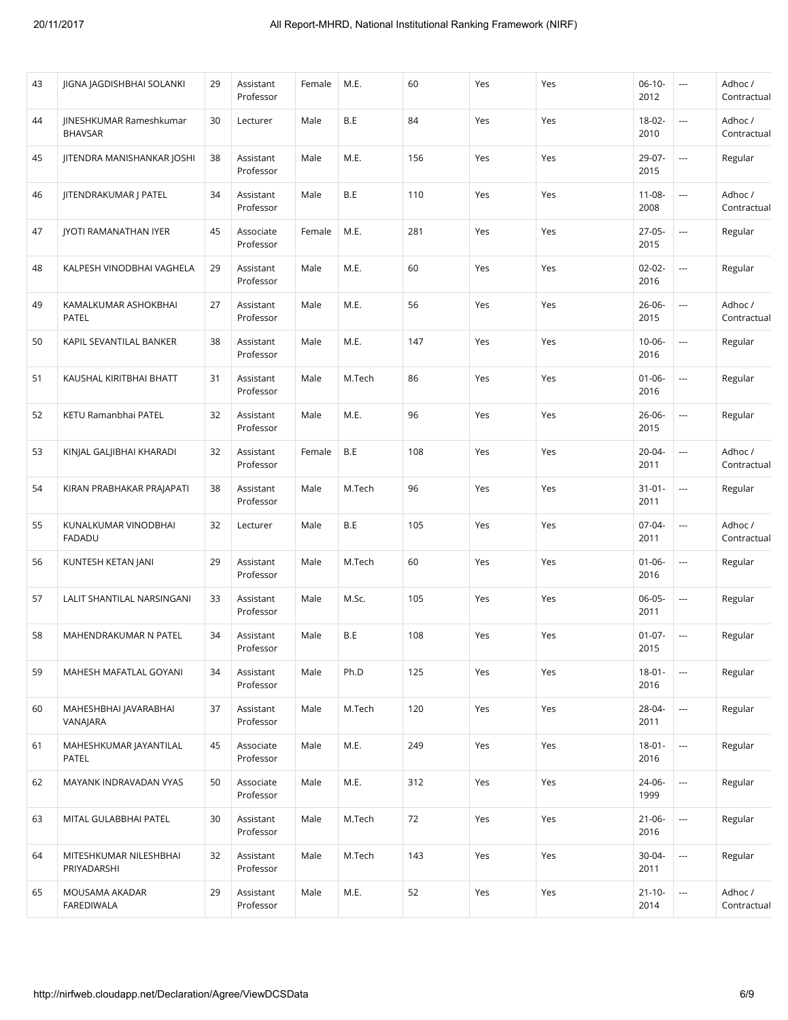| 43 | JIGNA JAGDISHBHAI SOLANKI                        | 29 | Assistant<br>Professor | Female | M.E.   | 60  | Yes | Yes | $06-10-$<br>2012    | $\overline{\phantom{a}}$ | Adhoc/<br>Contractual  |
|----|--------------------------------------------------|----|------------------------|--------|--------|-----|-----|-----|---------------------|--------------------------|------------------------|
| 44 | <b>IINESHKUMAR Rameshkumar</b><br><b>BHAVSAR</b> | 30 | Lecturer               | Male   | B.E    | 84  | Yes | Yes | $18 - 02 -$<br>2010 | $\overline{\phantom{a}}$ | Adhoc /<br>Contractual |
| 45 | <b>IITENDRA MANISHANKAR JOSHI</b>                | 38 | Assistant<br>Professor | Male   | M.E.   | 156 | Yes | Yes | 29-07-<br>2015      | $\overline{\phantom{a}}$ | Regular                |
| 46 | JITENDRAKUMAR J PATEL                            | 34 | Assistant<br>Professor | Male   | B.E    | 110 | Yes | Yes | $11 - 08 -$<br>2008 | $\overline{\phantom{a}}$ | Adhoc /<br>Contractual |
| 47 | <b>IYOTI RAMANATHAN IYER</b>                     | 45 | Associate<br>Professor | Female | M.E.   | 281 | Yes | Yes | $27 - 05 -$<br>2015 | $\overline{\phantom{a}}$ | Regular                |
| 48 | KALPESH VINODBHAI VAGHELA                        | 29 | Assistant<br>Professor | Male   | M.E.   | 60  | Yes | Yes | $02 - 02 -$<br>2016 | $\hspace{0.05cm} \ldots$ | Regular                |
| 49 | KAMALKUMAR ASHOKBHAI<br>PATEL                    | 27 | Assistant<br>Professor | Male   | M.E.   | 56  | Yes | Yes | $26 - 06 -$<br>2015 | $\overline{\phantom{a}}$ | Adhoc/<br>Contractual  |
| 50 | KAPIL SEVANTILAL BANKER                          | 38 | Assistant<br>Professor | Male   | M.E.   | 147 | Yes | Yes | $10 - 06 -$<br>2016 | $\overline{\phantom{a}}$ | Regular                |
| 51 | KAUSHAL KIRITBHAI BHATT                          | 31 | Assistant<br>Professor | Male   | M.Tech | 86  | Yes | Yes | $01 - 06 -$<br>2016 | $\hspace{0.05cm} \ldots$ | Regular                |
| 52 | KETU Ramanbhai PATEL                             | 32 | Assistant<br>Professor | Male   | M.E.   | 96  | Yes | Yes | $26 - 06 -$<br>2015 | $\overline{\phantom{a}}$ | Regular                |
| 53 | KINJAL GALJIBHAI KHARADI                         | 32 | Assistant<br>Professor | Female | B.E    | 108 | Yes | Yes | $20 - 04 -$<br>2011 | $\overline{\phantom{a}}$ | Adhoc/<br>Contractual  |
| 54 | KIRAN PRABHAKAR PRAJAPATI                        | 38 | Assistant<br>Professor | Male   | M.Tech | 96  | Yes | Yes | $31 - 01 -$<br>2011 | $\overline{\phantom{a}}$ | Regular                |
| 55 | KUNALKUMAR VINODBHAI<br>FADADU                   | 32 | Lecturer               | Male   | B.E    | 105 | Yes | Yes | $07-04-$<br>2011    | $\overline{\phantom{a}}$ | Adhoc/<br>Contractual  |
| 56 | KUNTESH KETAN JANI                               | 29 | Assistant<br>Professor | Male   | M.Tech | 60  | Yes | Yes | $01 - 06 -$<br>2016 | $\overline{\phantom{a}}$ | Regular                |
| 57 | LALIT SHANTILAL NARSINGANI                       | 33 | Assistant<br>Professor | Male   | M.Sc.  | 105 | Yes | Yes | $06 - 05 -$<br>2011 | $\overline{\phantom{a}}$ | Regular                |
| 58 | MAHENDRAKUMAR N PATEL                            | 34 | Assistant<br>Professor | Male   | B.E    | 108 | Yes | Yes | $01-07-$<br>2015    | $\overline{\phantom{a}}$ | Regular                |
| 59 | MAHESH MAFATLAL GOYANI                           | 34 | Assistant<br>Professor | Male   | Ph.D   | 125 | Yes | Yes | $18 - 01 -$<br>2016 | $\overline{\phantom{a}}$ | Regular                |
| 60 | MAHESHBHAI JAVARABHAI<br>VANAJARA                | 37 | Assistant<br>Professor | Male   | M.Tech | 120 | Yes | Yes | 28-04-<br>2011      | $\hspace{0.05cm} \ldots$ | Regular                |
| 61 | MAHESHKUMAR JAYANTILAL<br><b>PATEL</b>           | 45 | Associate<br>Professor | Male   | M.E.   | 249 | Yes | Yes | $18 - 01 -$<br>2016 | $\hspace{0.05cm} \ldots$ | Regular                |
| 62 | MAYANK INDRAVADAN VYAS                           | 50 | Associate<br>Professor | Male   | M.E.   | 312 | Yes | Yes | 24-06-<br>1999      | $\hspace{0.05cm} \ldots$ | Regular                |
| 63 | MITAL GULABBHAI PATEL                            | 30 | Assistant<br>Professor | Male   | M.Tech | 72  | Yes | Yes | $21 - 06 -$<br>2016 | $\overline{\phantom{a}}$ | Regular                |
| 64 | MITESHKUMAR NILESHBHAI<br>PRIYADARSHI            | 32 | Assistant<br>Professor | Male   | M.Tech | 143 | Yes | Yes | 30-04-<br>2011      | $\hspace{0.05cm} \ldots$ | Regular                |
| 65 | MOUSAMA AKADAR<br><b>FAREDIWALA</b>              | 29 | Assistant<br>Professor | Male   | M.E.   | 52  | Yes | Yes | $21 - 10 -$<br>2014 | $\hspace{0.05cm}\ldots$  | Adhoc /<br>Contractual |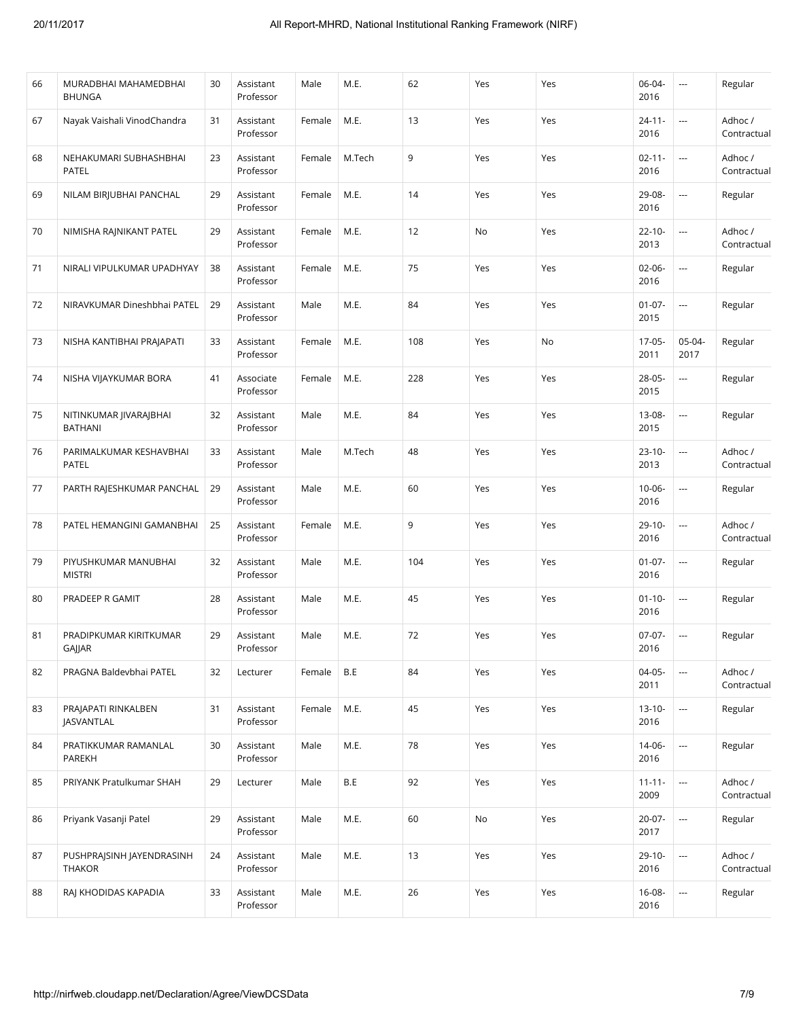| 66 | MURADBHAI MAHAMEDBHAI<br><b>BHUNGA</b>     | 30 | Assistant<br>Professor | Male   | M.E.   | 62  | Yes | Yes | 06-04-<br>2016      | ---                      | Regular                |
|----|--------------------------------------------|----|------------------------|--------|--------|-----|-----|-----|---------------------|--------------------------|------------------------|
| 67 | Nayak Vaishali VinodChandra                | 31 | Assistant<br>Professor | Female | M.E.   | 13  | Yes | Yes | $24 - 11 -$<br>2016 | $\overline{\phantom{a}}$ | Adhoc/<br>Contractual  |
| 68 | NEHAKUMARI SUBHASHBHAI<br><b>PATEL</b>     | 23 | Assistant<br>Professor | Female | M.Tech | 9   | Yes | Yes | $02 - 11 -$<br>2016 | ---                      | Adhoc/<br>Contractual  |
| 69 | NILAM BIRJUBHAI PANCHAL                    | 29 | Assistant<br>Professor | Female | M.E.   | 14  | Yes | Yes | 29-08-<br>2016      |                          | Regular                |
| 70 | NIMISHA RAJNIKANT PATEL                    | 29 | Assistant<br>Professor | Female | M.E.   | 12  | No  | Yes | $22 - 10 -$<br>2013 | ---                      | Adhoc/<br>Contractual  |
| 71 | NIRALI VIPULKUMAR UPADHYAY                 | 38 | Assistant<br>Professor | Female | M.E.   | 75  | Yes | Yes | $02 - 06 -$<br>2016 | $\overline{\phantom{a}}$ | Regular                |
| 72 | NIRAVKUMAR Dineshbhai PATEL                | 29 | Assistant<br>Professor | Male   | M.E.   | 84  | Yes | Yes | $01 - 07 -$<br>2015 | ---                      | Regular                |
| 73 | NISHA KANTIBHAI PRAJAPATI                  | 33 | Assistant<br>Professor | Female | M.E.   | 108 | Yes | No  | $17-05-$<br>2011    | 05-04-<br>2017           | Regular                |
| 74 | NISHA VIJAYKUMAR BORA                      | 41 | Associate<br>Professor | Female | M.E.   | 228 | Yes | Yes | 28-05-<br>2015      | ---                      | Regular                |
| 75 | NITINKUMAR JIVARAJBHAI<br><b>BATHANI</b>   | 32 | Assistant<br>Professor | Male   | M.E.   | 84  | Yes | Yes | $13 - 08 -$<br>2015 | $\overline{\phantom{a}}$ | Regular                |
| 76 | PARIMALKUMAR KESHAVBHAI<br>PATEL           | 33 | Assistant<br>Professor | Male   | M.Tech | 48  | Yes | Yes | $23 - 10 -$<br>2013 | $\overline{\phantom{a}}$ | Adhoc /<br>Contractual |
| 77 | PARTH RAJESHKUMAR PANCHAL                  | 29 | Assistant<br>Professor | Male   | M.E.   | 60  | Yes | Yes | $10 - 06 -$<br>2016 | $\overline{a}$           | Regular                |
| 78 | PATEL HEMANGINI GAMANBHAI                  | 25 | Assistant<br>Professor | Female | M.E.   | 9   | Yes | Yes | $29-10-$<br>2016    | $\overline{\phantom{a}}$ | Adhoc /<br>Contractual |
| 79 | PIYUSHKUMAR MANUBHAI<br><b>MISTRI</b>      | 32 | Assistant<br>Professor | Male   | M.E.   | 104 | Yes | Yes | $01 - 07 -$<br>2016 | $\overline{\phantom{a}}$ | Regular                |
| 80 | PRADEEP R GAMIT                            | 28 | Assistant<br>Professor | Male   | M.E.   | 45  | Yes | Yes | $01 - 10 -$<br>2016 | ---                      | Regular                |
| 81 | PRADIPKUMAR KIRITKUMAR<br>GAJJAR           | 29 | Assistant<br>Professor | Male   | M.E.   | 72  | Yes | Yes | $07-07-$<br>2016    | $\cdots$                 | Regular                |
| 82 | PRAGNA Baldevbhai PATEL                    | 32 | Lecturer               | Female | B.E    | 84  | Yes | Yes | $04-05-$<br>2011    | $\overline{a}$           | Adhoc /<br>Contractual |
| 83 | PRAJAPATI RINKALBEN<br>JASVANTLAL          | 31 | Assistant<br>Professor | Female | M.E.   | 45  | Yes | Yes | $13 - 10 -$<br>2016 | $\hspace{0.05cm} \ldots$ | Regular                |
| 84 | PRATIKKUMAR RAMANLAL<br>PAREKH             | 30 | Assistant<br>Professor | Male   | M.E.   | 78  | Yes | Yes | 14-06-<br>2016      | ---                      | Regular                |
| 85 | PRIYANK Pratulkumar SHAH                   | 29 | Lecturer               | Male   | B.E    | 92  | Yes | Yes | $11 - 11 -$<br>2009 | $\hspace{0.05cm} \ldots$ | Adhoc /<br>Contractual |
| 86 | Priyank Vasanji Patel                      | 29 | Assistant<br>Professor | Male   | M.E.   | 60  | No  | Yes | $20-07-$<br>2017    | i.                       | Regular                |
| 87 | PUSHPRAJSINH JAYENDRASINH<br><b>THAKOR</b> | 24 | Assistant<br>Professor | Male   | M.E.   | 13  | Yes | Yes | $29 - 10 -$<br>2016 | $\overline{\phantom{a}}$ | Adhoc /<br>Contractual |
| 88 | RAJ KHODIDAS KAPADIA                       | 33 | Assistant<br>Professor | Male   | M.E.   | 26  | Yes | Yes | $16 - 08 -$<br>2016 | $\overline{\phantom{a}}$ | Regular                |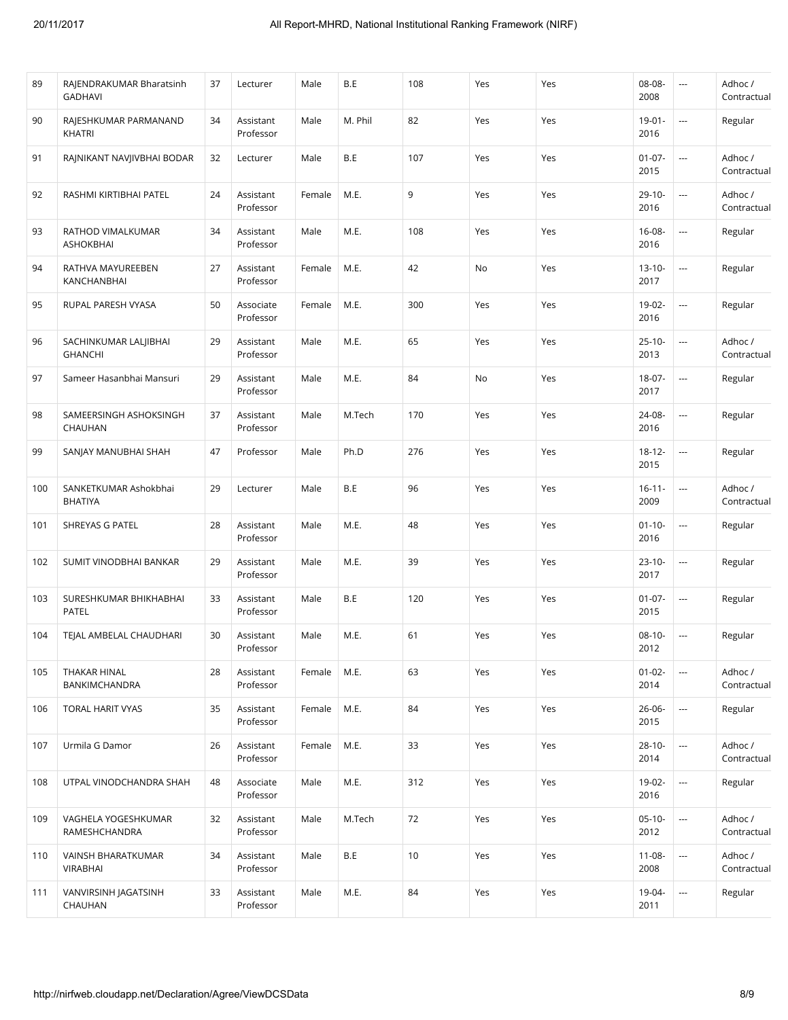| M. Phil<br>82<br>90<br>RAJESHKUMAR PARMANAND<br>34<br>Assistant<br>Male<br>Yes<br>Yes<br>$19 - 01 -$<br>---<br>2016<br>Professor<br>KHATRI<br>B.E<br>107<br>91<br>RAJNIKANT NAVJIVBHAI BODAR<br>32<br>Male<br>Yes<br>Yes<br>$01 - 07 -$<br>Lecturer<br>$\overline{\phantom{a}}$<br>2015<br>9<br>M.E.<br>$29 - 10 -$<br>i.<br>92<br>RASHMI KIRTIBHAI PATEL<br>24<br>Assistant<br>Yes<br>Yes<br>Female<br>Professor<br>2016<br>34<br>M.E.<br>108<br>$16 - 08 -$<br>93<br>RATHOD VIMALKUMAR<br>Assistant<br>Male<br>Yes<br>Yes<br>$\overline{\phantom{a}}$<br>ASHOKBHAI<br>Professor<br>2016<br>27<br>M.E.<br>42<br>$13 - 10 -$<br>94<br>RATHVA MAYUREEBEN<br>Assistant<br>Female<br>No<br>Yes<br>$\overline{\phantom{a}}$<br>2017<br>KANCHANBHAI<br>Professor<br>M.E.<br>300<br>$19-02-$<br>95<br>RUPAL PARESH VYASA<br>50<br>Female<br>Yes<br>Yes<br>Associate<br>$\overline{\phantom{a}}$<br>Professor<br>2016<br>65<br>M.E.<br>$25 - 10 -$<br>96<br>SACHINKUMAR LALJIBHAI<br>29<br>Assistant<br>Male<br>Yes<br>Yes<br>$\overline{\phantom{a}}$ | Adhoc /<br>Contractual |
|-------------------------------------------------------------------------------------------------------------------------------------------------------------------------------------------------------------------------------------------------------------------------------------------------------------------------------------------------------------------------------------------------------------------------------------------------------------------------------------------------------------------------------------------------------------------------------------------------------------------------------------------------------------------------------------------------------------------------------------------------------------------------------------------------------------------------------------------------------------------------------------------------------------------------------------------------------------------------------------------------------------------------------------------------|------------------------|
|                                                                                                                                                                                                                                                                                                                                                                                                                                                                                                                                                                                                                                                                                                                                                                                                                                                                                                                                                                                                                                                 | Regular                |
|                                                                                                                                                                                                                                                                                                                                                                                                                                                                                                                                                                                                                                                                                                                                                                                                                                                                                                                                                                                                                                                 | Adhoc /<br>Contractual |
|                                                                                                                                                                                                                                                                                                                                                                                                                                                                                                                                                                                                                                                                                                                                                                                                                                                                                                                                                                                                                                                 | Adhoc /<br>Contractual |
|                                                                                                                                                                                                                                                                                                                                                                                                                                                                                                                                                                                                                                                                                                                                                                                                                                                                                                                                                                                                                                                 | Regular                |
|                                                                                                                                                                                                                                                                                                                                                                                                                                                                                                                                                                                                                                                                                                                                                                                                                                                                                                                                                                                                                                                 | Regular                |
|                                                                                                                                                                                                                                                                                                                                                                                                                                                                                                                                                                                                                                                                                                                                                                                                                                                                                                                                                                                                                                                 | Regular                |
| <b>GHANCHI</b><br>Professor<br>2013                                                                                                                                                                                                                                                                                                                                                                                                                                                                                                                                                                                                                                                                                                                                                                                                                                                                                                                                                                                                             | Adhoc/<br>Contractual  |
| 29<br>M.E.<br>84<br>$18-07-$<br>97<br>Sameer Hasanbhai Mansuri<br>Assistant<br>Male<br>No<br>Yes<br>$\overline{\phantom{a}}$<br>Professor<br>2017                                                                                                                                                                                                                                                                                                                                                                                                                                                                                                                                                                                                                                                                                                                                                                                                                                                                                               | Regular                |
| 37<br>M.Tech<br>170<br>24-08-<br>98<br>SAMEERSINGH ASHOKSINGH<br>Assistant<br>Male<br>Yes<br>Yes<br>---<br>2016<br>Professor<br>CHAUHAN                                                                                                                                                                                                                                                                                                                                                                                                                                                                                                                                                                                                                                                                                                                                                                                                                                                                                                         | Regular                |
| Ph.D<br>276<br>99<br>SANJAY MANUBHAI SHAH<br>47<br>Professor<br>Male<br>Yes<br>Yes<br>$18 - 12 -$<br>$\ldots$<br>2015                                                                                                                                                                                                                                                                                                                                                                                                                                                                                                                                                                                                                                                                                                                                                                                                                                                                                                                           | Regular                |
| B.E<br>96<br>$16 - 11 -$<br>100<br>SANKETKUMAR Ashokbhai<br>29<br>Male<br>Yes<br>Yes<br>---<br>Lecturer<br>2009<br><b>BHATIYA</b>                                                                                                                                                                                                                                                                                                                                                                                                                                                                                                                                                                                                                                                                                                                                                                                                                                                                                                               | Adhoc /<br>Contractual |
| M.E.<br>48<br>$01 - 10 -$<br>101<br>SHREYAS G PATEL<br>28<br>Assistant<br>Male<br>Yes<br>Yes<br>$\overline{\phantom{a}}$<br>Professor<br>2016                                                                                                                                                                                                                                                                                                                                                                                                                                                                                                                                                                                                                                                                                                                                                                                                                                                                                                   | Regular                |
| 29<br>M.E.<br>39<br>$23 - 10 -$<br>102<br>SUMIT VINODBHAI BANKAR<br>Assistant<br>Male<br>Yes<br>Yes<br>$\overline{\phantom{a}}$<br>2017<br>Professor                                                                                                                                                                                                                                                                                                                                                                                                                                                                                                                                                                                                                                                                                                                                                                                                                                                                                            | Regular                |
| B.E<br>120<br>$01 - 07 -$<br>103<br>SURESHKUMAR BHIKHABHAI<br>33<br>Male<br>Yes<br>Yes<br>Assistant<br>$\overline{\phantom{a}}$<br>2015<br>PATEL<br>Professor                                                                                                                                                                                                                                                                                                                                                                                                                                                                                                                                                                                                                                                                                                                                                                                                                                                                                   | Regular                |
| M.E.<br>61<br>$08-10-$<br>104<br>TEJAL AMBELAL CHAUDHARI<br>30<br>Male<br>Yes<br>Yes<br>Assistant<br>$\overline{\phantom{a}}$<br>2012<br>Professor                                                                                                                                                                                                                                                                                                                                                                                                                                                                                                                                                                                                                                                                                                                                                                                                                                                                                              | Regular                |
| THAKAR HINAL<br>M.E.<br>63<br>$01 - 02 -$<br>105<br>28<br>Assistant<br>Female<br>Yes<br>Yes<br>$\overline{\phantom{a}}$<br>BANKIMCHANDRA<br>Professor<br>2014                                                                                                                                                                                                                                                                                                                                                                                                                                                                                                                                                                                                                                                                                                                                                                                                                                                                                   | Adhoc /<br>Contractual |
| 35<br>M.E.<br>84<br>$26 - 06 -$<br>106<br>TORAL HARIT VYAS<br>Assistant<br>Female<br>Yes<br>Yes<br>---<br>Professor<br>2015                                                                                                                                                                                                                                                                                                                                                                                                                                                                                                                                                                                                                                                                                                                                                                                                                                                                                                                     | Regular                |
| M.E.<br>33<br>$28 - 10 -$<br>107<br>Urmila G Damor<br>26<br>Assistant<br>Female<br>Yes<br>Yes<br>$\ldots$<br>Professor<br>2014                                                                                                                                                                                                                                                                                                                                                                                                                                                                                                                                                                                                                                                                                                                                                                                                                                                                                                                  | Adhoc /<br>Contractual |
| M.E.<br>48<br>312<br>Yes<br>19-02-<br>108<br>UTPAL VINODCHANDRA SHAH<br>Associate<br>Male<br>Yes<br>$\overline{\phantom{a}}$<br>2016<br>Professor                                                                                                                                                                                                                                                                                                                                                                                                                                                                                                                                                                                                                                                                                                                                                                                                                                                                                               | Regular                |
| VAGHELA YOGESHKUMAR<br>32<br>M.Tech<br>72<br>Yes<br>$05-10-$<br>109<br>Assistant<br>Male<br>Yes<br>$\overline{\phantom{a}}$<br>Professor<br>RAMESHCHANDRA<br>2012                                                                                                                                                                                                                                                                                                                                                                                                                                                                                                                                                                                                                                                                                                                                                                                                                                                                               | Adhoc /<br>Contractual |
| 34<br>B.E<br>10<br>$11 - 08 -$<br>110<br>VAINSH BHARATKUMAR<br>Assistant<br>Male<br>Yes<br>Yes<br>$\overline{\phantom{a}}$<br><b>VIRABHAI</b><br>Professor<br>2008                                                                                                                                                                                                                                                                                                                                                                                                                                                                                                                                                                                                                                                                                                                                                                                                                                                                              | Adhoc /<br>Contractual |
| 33<br>M.E.<br>84<br>19-04-<br>111<br>VANVIRSINH JAGATSINH<br>Assistant<br>Male<br>Yes<br>Yes<br>$\overline{\phantom{a}}$<br>CHAUHAN<br>Professor<br>2011                                                                                                                                                                                                                                                                                                                                                                                                                                                                                                                                                                                                                                                                                                                                                                                                                                                                                        | Regular                |